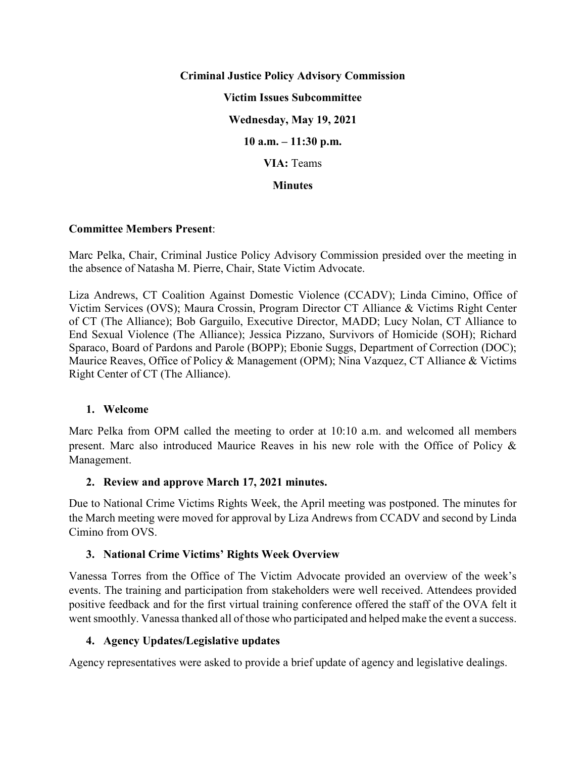**Criminal Justice Policy Advisory Commission Victim Issues Subcommittee Wednesday, May 19, 2021 10 a.m. – 11:30 p.m. VIA:** Teams **Minutes**

### **Committee Members Present**:

Marc Pelka, Chair, Criminal Justice Policy Advisory Commission presided over the meeting in the absence of Natasha M. Pierre, Chair, State Victim Advocate.

Liza Andrews, CT Coalition Against Domestic Violence (CCADV); Linda Cimino, Office of Victim Services (OVS); Maura Crossin, Program Director CT Alliance & Victims Right Center of CT (The Alliance); Bob Garguilo, Executive Director, MADD; Lucy Nolan, CT Alliance to End Sexual Violence (The Alliance); Jessica Pizzano, Survivors of Homicide (SOH); Richard Sparaco, Board of Pardons and Parole (BOPP); Ebonie Suggs, Department of Correction (DOC); Maurice Reaves, Office of Policy & Management (OPM); Nina Vazquez, CT Alliance & Victims Right Center of CT (The Alliance).

### **1. Welcome**

Marc Pelka from OPM called the meeting to order at 10:10 a.m. and welcomed all members present. Marc also introduced Maurice Reaves in his new role with the Office of Policy & Management.

## **2. Review and approve March 17, 2021 minutes.**

Due to National Crime Victims Rights Week, the April meeting was postponed. The minutes for the March meeting were moved for approval by Liza Andrews from CCADV and second by Linda Cimino from OVS.

## **3. National Crime Victims' Rights Week Overview**

Vanessa Torres from the Office of The Victim Advocate provided an overview of the week's events. The training and participation from stakeholders were well received. Attendees provided positive feedback and for the first virtual training conference offered the staff of the OVA felt it went smoothly. Vanessa thanked all of those who participated and helped make the event a success.

### **4. Agency Updates/Legislative updates**

Agency representatives were asked to provide a brief update of agency and legislative dealings.